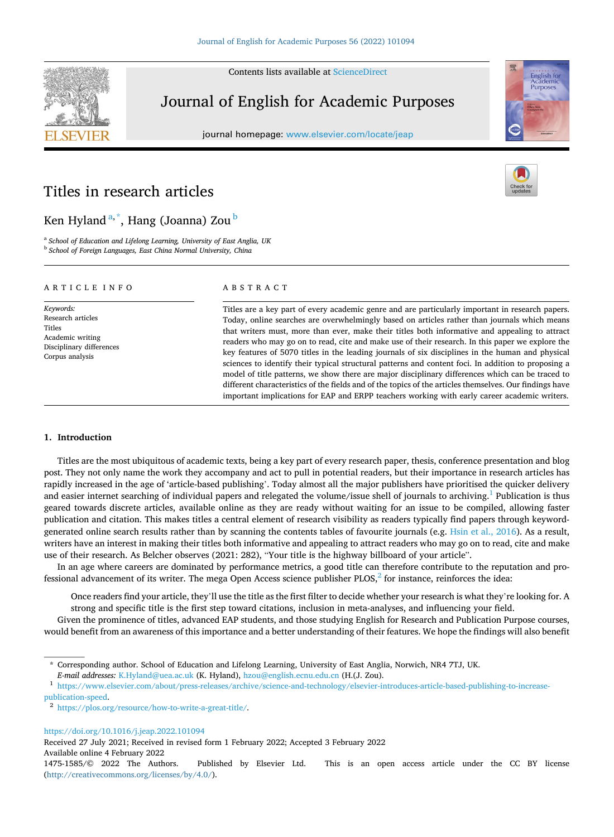Contents lists available at [ScienceDirect](www.sciencedirect.com/science/journal/14751585)



# Journal of English for Academic Purposes

journal homepage: [www.elsevier.com/locate/jeap](https://www.elsevier.com/locate/jeap) 



# Titles in research articles

# Ken Hyland <sup>a,\*</sup>, Hang (Joanna) Zou <sup>b</sup>

<sup>a</sup> *School of Education and Lifelong Learning, University of East Anglia, UK* <sup>b</sup> *School of Foreign Languages, East China Normal University, China* 

# ARTICLE INFO

*Keywords:*  Research articles Titles Academic writing Disciplinary differences Corpus analysis

## ABSTRACT

Titles are a key part of every academic genre and are particularly important in research papers. Today, online searches are overwhelmingly based on articles rather than journals which means that writers must, more than ever, make their titles both informative and appealing to attract readers who may go on to read, cite and make use of their research. In this paper we explore the key features of 5070 titles in the leading journals of six disciplines in the human and physical sciences to identify their typical structural patterns and content foci. In addition to proposing a model of title patterns, we show there are major disciplinary differences which can be traced to different characteristics of the fields and of the topics of the articles themselves. Our findings have important implications for EAP and ERPP teachers working with early career academic writers.

# **1. Introduction**

Titles are the most ubiquitous of academic texts, being a key part of every research paper, thesis, conference presentation and blog post. They not only name the work they accompany and act to pull in potential readers, but their importance in research articles has rapidly increased in the age of 'article-based publishing'. Today almost all the major publishers have prioritised the quicker delivery and easier internet searching of individual papers and relegated the volume/issue shell of journals to archiving.<sup>1</sup> Publication is thus geared towards discrete articles, available online as they are ready without waiting for an issue to be compiled, allowing faster publication and citation. This makes titles a central element of research visibility as readers typically find papers through keywordgenerated online search results rather than by scanning the contents tables of favourite journals (e.g. [Hsin et al., 2016](#page-12-0)). As a result, writers have an interest in making their titles both informative and appealing to attract readers who may go on to read, cite and make use of their research. As Belcher observes (2021: 282), "Your title is the highway billboard of your article".

In an age where careers are dominated by performance metrics, a good title can therefore contribute to the reputation and professional advancement of its writer. The mega Open Access science publisher  $PLOS$ ,  $2^2$  for instance, reinforces the idea:

Once readers find your article, they'll use the title as the first filter to decide whether your research is what they're looking for. A strong and specific title is the first step toward citations, inclusion in meta-analyses, and influencing your field.

Given the prominence of titles, advanced EAP students, and those studying English for Research and Publication Purpose courses, would benefit from an awareness of this importance and a better understanding of their features. We hope the findings will also benefit

<https://doi.org/10.1016/j.jeap.2022.101094>

Received 27 July 2021; Received in revised form 1 February 2022; Accepted 3 February 2022

Available online 4 February 2022



<sup>\*</sup> Corresponding author. School of Education and Lifelong Learning, University of East Anglia, Norwich, NR4 7TJ, UK.

E-mail addresses: [K.Hyland@uea.ac.uk](mailto:K.Hyland@uea.ac.uk) (K. Hyland), [hzou@english.ecnu.edu.cn](mailto:hzou@english.ecnu.edu.cn) (H.(J. Zou).<br><sup>1</sup> https://www.elsevier.com/about/press-releases/archive/science-and-technology/elsevier-introduces-article-based-publishing-to-incre

[publication-speed](https://www.elsevier.com/about/press-releases/archive/science-and-technology/elsevier-introduces-article-based-publishing-to-increase-publication-speed).  $^{\text{2}}$ <https://plos.org/resource/how-to-write-a-great-title/>.

<sup>1475-1585/© 2022</sup> The Authors. Published by Elsevier Ltd. This is an open access article under the CC BY license ([http://creativecommons.org/licenses/by/4.0/\)](http://creativecommons.org/licenses/by/4.0/).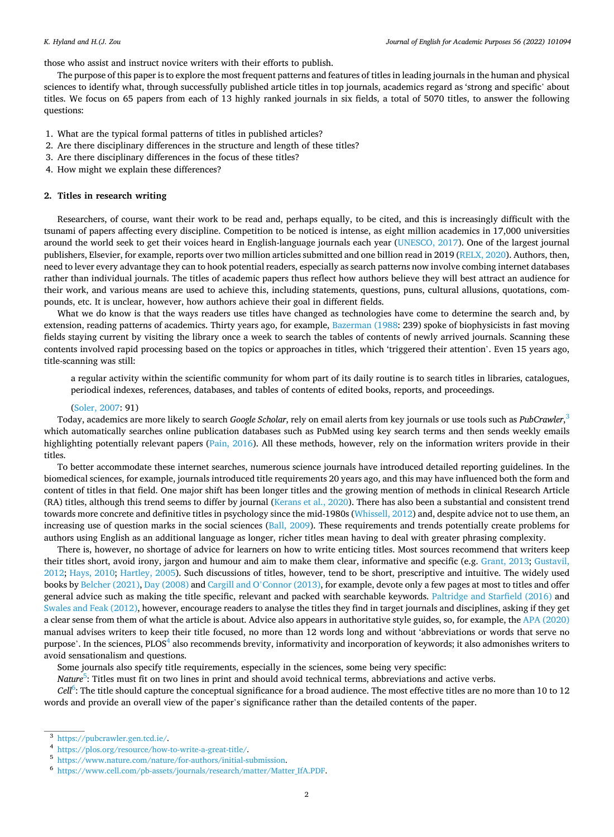those who assist and instruct novice writers with their efforts to publish.

The purpose of this paper is to explore the most frequent patterns and features of titles in leading journals in the human and physical sciences to identify what, through successfully published article titles in top journals, academics regard as 'strong and specific' about titles. We focus on 65 papers from each of 13 highly ranked journals in six fields, a total of 5070 titles, to answer the following questions:

- 1. What are the typical formal patterns of titles in published articles?
- 2. Are there disciplinary differences in the structure and length of these titles?
- 3. Are there disciplinary differences in the focus of these titles?
- 4. How might we explain these differences?

### **2. Titles in research writing**

Researchers, of course, want their work to be read and, perhaps equally, to be cited, and this is increasingly difficult with the tsunami of papers affecting every discipline. Competition to be noticed is intense, as eight million academics in 17,000 universities around the world seek to get their voices heard in English-language journals each year ([UNESCO, 2017](#page-12-0)). One of the largest journal publishers, Elsevier, for example, reports over two million articles submitted and one billion read in 2019 ([RELX, 2020\)](#page-12-0). Authors, then, need to lever every advantage they can to hook potential readers, especially as search patterns now involve combing internet databases rather than individual journals. The titles of academic papers thus reflect how authors believe they will best attract an audience for their work, and various means are used to achieve this, including statements, questions, puns, cultural allusions, quotations, compounds, etc. It is unclear, however, how authors achieve their goal in different fields.

What we do know is that the ways readers use titles have changed as technologies have come to determine the search and, by extension, reading patterns of academics. Thirty years ago, for example, [Bazerman \(1988:](#page-11-0) 239) spoke of biophysicists in fast moving fields staying current by visiting the library once a week to search the tables of contents of newly arrived journals. Scanning these contents involved rapid processing based on the topics or approaches in titles, which 'triggered their attention'. Even 15 years ago, title-scanning was still:

a regular activity within the scientific community for whom part of its daily routine is to search titles in libraries, catalogues, periodical indexes, references, databases, and tables of contents of edited books, reports, and proceedings.

# ([Soler, 2007](#page-12-0): 91)

Today, academics are more likely to search *Google Scholar*, rely on email alerts from key journals or use tools such as *PubCrawler*, 3 which automatically searches online publication databases such as PubMed using key search terms and then sends weekly emails highlighting potentially relevant papers ([Pain, 2016](#page-12-0)). All these methods, however, rely on the information writers provide in their titles.

To better accommodate these internet searches, numerous science journals have introduced detailed reporting guidelines. In the biomedical sciences, for example, journals introduced title requirements 20 years ago, and this may have influenced both the form and content of titles in that field. One major shift has been longer titles and the growing mention of methods in clinical Research Article (RA) titles, although this trend seems to differ by journal [\(Kerans et al., 2020\)](#page-12-0). There has also been a substantial and consistent trend towards more concrete and definitive titles in psychology since the mid-1980s [\(Whissell, 2012\)](#page-12-0) and, despite advice not to use them, an increasing use of question marks in the social sciences ([Ball, 2009\)](#page-11-0). These requirements and trends potentially create problems for authors using English as an additional language as longer, richer titles mean having to deal with greater phrasing complexity.

There is, however, no shortage of advice for learners on how to write enticing titles. Most sources recommend that writers keep their titles short, avoid irony, jargon and humour and aim to make them clear, informative and specific (e.g. [Grant, 2013](#page-12-0); [Gustavil,](#page-12-0) [2012;](#page-12-0) [Hays, 2010;](#page-12-0) [Hartley, 2005\)](#page-12-0). Such discussions of titles, however, tend to be short, prescriptive and intuitive. The widely used books by [Belcher \(2021\), Day \(2008\)](#page-11-0) and Cargill and O'[Connor \(2013\)](#page-11-0), for example, devote only a few pages at most to titles and offer general advice such as making the title specific, relevant and packed with searchable keywords. [Paltridge and Starfield \(2016\)](#page-12-0) and [Swales and Feak \(2012\),](#page-12-0) however, encourage readers to analyse the titles they find in target journals and disciplines, asking if they get a clear sense from them of what the article is about. Advice also appears in authoritative style guides, so, for example, the [APA \(2020\)](#page-11-0) manual advises writers to keep their title focused, no more than 12 words long and without 'abbreviations or words that serve no purpose'. In the sciences, PLOS<sup>4</sup> also recommends brevity, informativity and incorporation of keywords; it also admonishes writers to avoid sensationalism and questions.

Some journals also specify title requirements, especially in the sciences, some being very specific:

*Nature*<sup>5</sup>: Titles must fit on two lines in print and should avoid technical terms, abbreviations and active verbs.

Cell<sup>6</sup>: The title should capture the conceptual significance for a broad audience. The most effective titles are no more than 10 to 12 words and provide an overall view of the paper's significance rather than the detailed contents of the paper.

 $^3$ <https://pubcrawler.gen.tcd.ie/><br>  $^4$ <https://plos.org/resource/how-to-write-a-great-title/><br>  $^5$ <https://www.nature.com/nature/for-authors/initial-submission>.<br>  $^6$ https://www.cell.com/pb-assets/journals/research/matter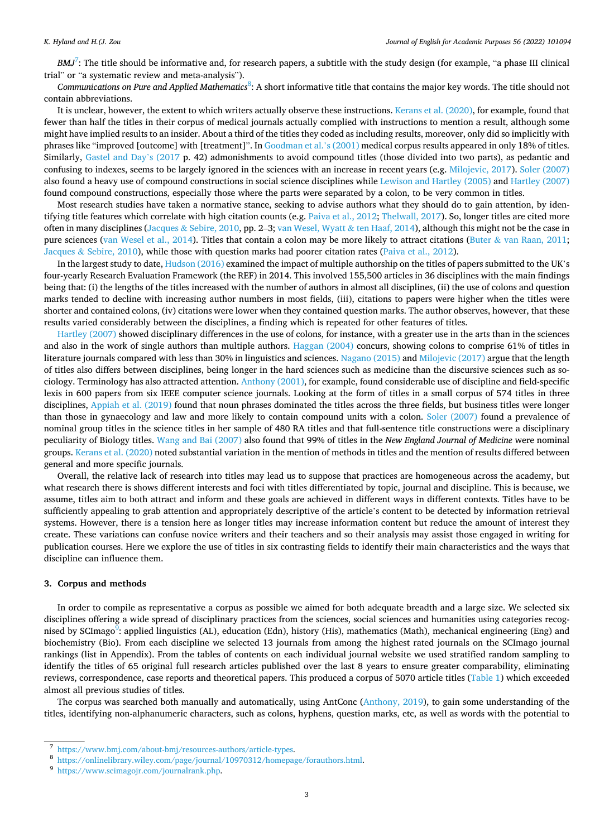*BMJ*<sup>7</sup>: The title should be informative and, for research papers, a subtitle with the study design (for example, "a phase III clinical trial" or "a systematic review and meta-analysis").

Communications on Pure and Applied Mathematics<sup>8</sup>: A short informative title that contains the major key words. The title should not contain abbreviations.

It is unclear, however, the extent to which writers actually observe these instructions. [Kerans et al. \(2020\)](#page-12-0), for example, found that fewer than half the titles in their corpus of medical journals actually complied with instructions to mention a result, although some might have implied results to an insider. About a third of the titles they coded as including results, moreover, only did so implicitly with phrases like "improved [outcome] with [treatment]". In [Goodman et al.](#page-12-0)'s (2001) medical corpus results appeared in only 18% of titles. Similarly, [Gastel and Day](#page-11-0)'s (2017 p. 42) admonishments to avoid compound titles (those divided into two parts), as pedantic and confusing to indexes, seems to be largely ignored in the sciences with an increase in recent years (e.g. [Milojevic, 2017\)](#page-12-0). [Soler \(2007\)](#page-12-0) also found a heavy use of compound constructions in social science disciplines while [Lewison and Hartley \(2005\)](#page-12-0) and [Hartley \(2007\)](#page-12-0) found compound constructions, especially those where the parts were separated by a colon, to be very common in titles.

Most research studies have taken a normative stance, seeking to advise authors what they should do to gain attention, by identifying title features which correlate with high citation counts (e.g. [Paiva et al., 2012](#page-12-0); [Thelwall, 2017](#page-12-0)). So, longer titles are cited more often in many disciplines (Jacques & [Sebire, 2010](#page-12-0), pp. 2–3; [van Wesel, Wyatt](#page-12-0) & ten Haaf, 2014), although this might not be the case in pure sciences ([van Wesel et al., 2014\)](#page-12-0). Titles that contain a colon may be more likely to attract citations (Buter & [van Raan, 2011](#page-11-0); Jacques & [Sebire, 2010](#page-12-0)), while those with question marks had poorer citation rates ([Paiva et al., 2012\)](#page-12-0).

In the largest study to date, [Hudson \(2016\)](#page-12-0) examined the impact of multiple authorship on the titles of papers submitted to the UK's four-yearly Research Evaluation Framework (the REF) in 2014. This involved 155,500 articles in 36 disciplines with the main findings being that: (i) the lengths of the titles increased with the number of authors in almost all disciplines, (ii) the use of colons and question marks tended to decline with increasing author numbers in most fields, (iii), citations to papers were higher when the titles were shorter and contained colons, (iv) citations were lower when they contained question marks. The author observes, however, that these results varied considerably between the disciplines, a finding which is repeated for other features of titles.

[Hartley \(2007\)](#page-12-0) showed disciplinary differences in the use of colons, for instance, with a greater use in the arts than in the sciences and also in the work of single authors than multiple authors. [Haggan \(2004\)](#page-12-0) concurs, showing colons to comprise 61% of titles in literature journals compared with less than 30% in linguistics and sciences. [Nagano \(2015\)](#page-12-0) and [Milojevic \(2017\)](#page-12-0) argue that the length of titles also differs between disciplines, being longer in the hard sciences such as medicine than the discursive sciences such as sociology. Terminology has also attracted attention. [Anthony \(2001\),](#page-11-0) for example, found considerable use of discipline and field-specific lexis in 600 papers from six IEEE computer science journals. Looking at the form of titles in a small corpus of 574 titles in three disciplines, [Appiah et al. \(2019\)](#page-11-0) found that noun phrases dominated the titles across the three fields, but business titles were longer than those in gynaecology and law and more likely to contain compound units with a colon. [Soler \(2007\)](#page-12-0) found a prevalence of nominal group titles in the science titles in her sample of 480 RA titles and that full-sentence title constructions were a disciplinary peculiarity of Biology titles. [Wang and Bai \(2007\)](#page-12-0) also found that 99% of titles in the *New England Journal of Medicine* were nominal groups. [Kerans et al. \(2020\)](#page-12-0) noted substantial variation in the mention of methods in titles and the mention of results differed between general and more specific journals.

Overall, the relative lack of research into titles may lead us to suppose that practices are homogeneous across the academy, but what research there is shows different interests and foci with titles differentiated by topic, journal and discipline. This is because, we assume, titles aim to both attract and inform and these goals are achieved in different ways in different contexts. Titles have to be sufficiently appealing to grab attention and appropriately descriptive of the article's content to be detected by information retrieval systems. However, there is a tension here as longer titles may increase information content but reduce the amount of interest they create. These variations can confuse novice writers and their teachers and so their analysis may assist those engaged in writing for publication courses. Here we explore the use of titles in six contrasting fields to identify their main characteristics and the ways that discipline can influence them.

#### **3. Corpus and methods**

In order to compile as representative a corpus as possible we aimed for both adequate breadth and a large size. We selected six disciplines offering a wide spread of disciplinary practices from the sciences, social sciences and humanities using categories recognised by SCImago<sup>9</sup>: applied linguistics (AL), education (Edn), history (His), mathematics (Math), mechanical engineering (Eng) and biochemistry (Bio). From each discipline we selected 13 journals from among the highest rated journals on the SCImago journal rankings (list in Appendix). From the tables of contents on each individual journal website we used stratified random sampling to identify the titles of 65 original full research articles published over the last 8 years to ensure greater comparability, eliminating reviews, correspondence, case reports and theoretical papers. This produced a corpus of 5070 article titles ([Table 1\)](#page-3-0) which exceeded almost all previous studies of titles.

The corpus was searched both manually and automatically, using AntConc [\(Anthony, 2019](#page-11-0)), to gain some understanding of the titles, identifying non-alphanumeric characters, such as colons, hyphens, question marks, etc, as well as words with the potential to

<sup>7</sup> <https://www.bmj.com/about-bmj/resources-authors/article-types>. 8 <https://onlinelibrary.wiley.com/page/journal/10970312/homepage/forauthors.html>. 9 <https://www.scimagojr.com/journalrank.php>.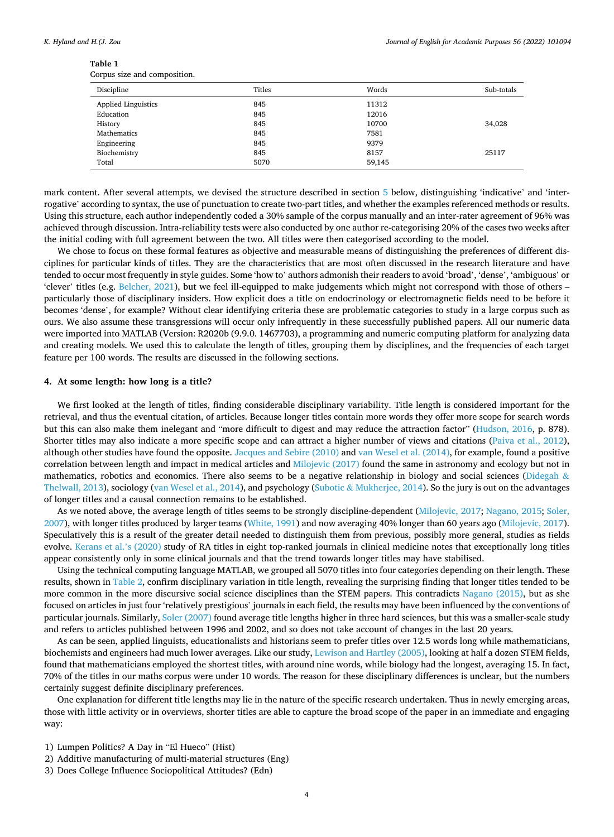<span id="page-3-0"></span>

| Corpus size and composition. |  |
|------------------------------|--|
|------------------------------|--|

| Discipline                 | Titles | Words  | Sub-totals |
|----------------------------|--------|--------|------------|
| <b>Applied Linguistics</b> | 845    | 11312  |            |
| Education                  | 845    | 12016  |            |
| History                    | 845    | 10700  | 34,028     |
| Mathematics                | 845    | 7581   |            |
| Engineering                | 845    | 9379   |            |
| Biochemistry               | 845    | 8157   | 25117      |
| Total                      | 5070   | 59,145 |            |

mark content. After several attempts, we devised the structure described in section [5](#page-4-0) below, distinguishing 'indicative' and 'interrogative' according to syntax, the use of punctuation to create two-part titles, and whether the examples referenced methods or results. Using this structure, each author independently coded a 30% sample of the corpus manually and an inter-rater agreement of 96% was achieved through discussion. Intra-reliability tests were also conducted by one author re-categorising 20% of the cases two weeks after the initial coding with full agreement between the two. All titles were then categorised according to the model.

We chose to focus on these formal features as objective and measurable means of distinguishing the preferences of different disciplines for particular kinds of titles. They are the characteristics that are most often discussed in the research literature and have tended to occur most frequently in style guides. Some 'how to' authors admonish their readers to avoid 'broad', 'dense', 'ambiguous' or 'clever' titles (e.g. [Belcher, 2021\)](#page-11-0), but we feel ill-equipped to make judgements which might not correspond with those of others – particularly those of disciplinary insiders. How explicit does a title on endocrinology or electromagnetic fields need to be before it becomes 'dense', for example? Without clear identifying criteria these are problematic categories to study in a large corpus such as ours. We also assume these transgressions will occur only infrequently in these successfully published papers. All our numeric data were imported into MATLAB (Version: R2020b (9.9.0. 1467703), a programming and numeric computing platform for analyzing data and creating models. We used this to calculate the length of titles, grouping them by disciplines, and the frequencies of each target feature per 100 words. The results are discussed in the following sections.

### **4. At some length: how long is a title?**

We first looked at the length of titles, finding considerable disciplinary variability. Title length is considered important for the retrieval, and thus the eventual citation, of articles. Because longer titles contain more words they offer more scope for search words but this can also make them inelegant and "more difficult to digest and may reduce the attraction factor" [\(Hudson, 2016](#page-12-0), p. 878). Shorter titles may also indicate a more specific scope and can attract a higher number of views and citations ([Paiva et al., 2012](#page-12-0)), although other studies have found the opposite. [Jacques and Sebire \(2010\)](#page-12-0) and [van Wesel et al. \(2014\),](#page-12-0) for example, found a positive correlation between length and impact in medical articles and [Milojevic \(2017\)](#page-12-0) found the same in astronomy and ecology but not in mathematics, robotics and economics. There also seems to be a negative relationship in biology and social sciences ([Didegah](#page-11-0)  $\&$ [Thelwall, 2013\)](#page-11-0), sociology ([van Wesel et al., 2014\)](#page-12-0), and psychology (Subotic & [Mukherjee, 2014\)](#page-12-0). So the jury is out on the advantages of longer titles and a causal connection remains to be established.

As we noted above, the average length of titles seems to be strongly discipline-dependent ([Milojevic, 2017; Nagano, 2015; Soler,](#page-12-0) [2007\)](#page-12-0), with longer titles produced by larger teams ([White, 1991\)](#page-12-0) and now averaging 40% longer than 60 years ago [\(Milojevic, 2017](#page-12-0)). Speculatively this is a result of the greater detail needed to distinguish them from previous, possibly more general, studies as fields evolve. [Kerans et al.](#page-12-0)'s (2020) study of RA titles in eight top-ranked journals in clinical medicine notes that exceptionally long titles appear consistently only in some clinical journals and that the trend towards longer titles may have stabilised.

Using the technical computing language MATLAB, we grouped all 5070 titles into four categories depending on their length. These results, shown in [Table 2](#page-4-0), confirm disciplinary variation in title length, revealing the surprising finding that longer titles tended to be more common in the more discursive social science disciplines than the STEM papers. This contradicts [Nagano \(2015\)](#page-12-0), but as she focused on articles in just four 'relatively prestigious' journals in each field, the results may have been influenced by the conventions of particular journals. Similarly, [Soler \(2007\)](#page-12-0) found average title lengths higher in three hard sciences, but this was a smaller-scale study and refers to articles published between 1996 and 2002, and so does not take account of changes in the last 20 years.

As can be seen, applied linguists, educationalists and historians seem to prefer titles over 12.5 words long while mathematicians, biochemists and engineers had much lower averages. Like our study, [Lewison and Hartley \(2005\),](#page-12-0) looking at half a dozen STEM fields, found that mathematicians employed the shortest titles, with around nine words, while biology had the longest, averaging 15. In fact, 70% of the titles in our maths corpus were under 10 words. The reason for these disciplinary differences is unclear, but the numbers certainly suggest definite disciplinary preferences.

One explanation for different title lengths may lie in the nature of the specific research undertaken. Thus in newly emerging areas, those with little activity or in overviews, shorter titles are able to capture the broad scope of the paper in an immediate and engaging way:

- 1) Lumpen Politics? A Day in "El Hueco" (Hist)
- 2) Additive manufacturing of multi-material structures (Eng)
- 3) Does College Influence Sociopolitical Attitudes? (Edn)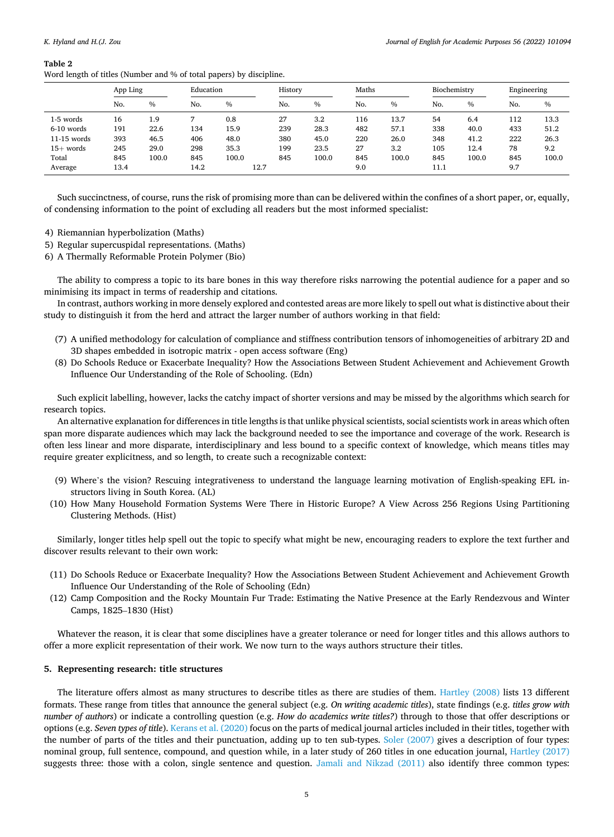#### <span id="page-4-0"></span>**Table 2**

Word length of titles (Number and % of total papers) by discipline.

|               | App Ling |               | Education |               | History |       | Maths |       | Biochemistry |       | Engineering |       |
|---------------|----------|---------------|-----------|---------------|---------|-------|-------|-------|--------------|-------|-------------|-------|
|               | No.      | $\frac{0}{0}$ | No.       | $\frac{0}{0}$ | No.     | $\%$  | No.   | $\%$  | No.          | $\%$  | No.         | $\%$  |
| 1-5 words     | 16       | 1.9           |           | 0.8           | 27      | 3.2   | 116   | 13.7  | 54           | 6.4   | 112         | 13.3  |
| 6-10 words    | 191      | 22.6          | 134       | 15.9          | 239     | 28.3  | 482   | 57.1  | 338          | 40.0  | 433         | 51.2  |
| $11-15$ words | 393      | 46.5          | 406       | 48.0          | 380     | 45.0  | 220   | 26.0  | 348          | 41.2  | 222         | 26.3  |
| $15+$ words   | 245      | 29.0          | 298       | 35.3          | 199     | 23.5  | 27    | 3.2   | 105          | 12.4  | 78          | 9.2   |
| Total         | 845      | 100.0         | 845       | 100.0         | 845     | 100.0 | 845   | 100.0 | 845          | 100.0 | 845         | 100.0 |
| Average       | 13.4     |               | 14.2      | 12.7          |         |       | 9.0   |       | 11.1         |       | 9.7         |       |

Such succinctness, of course, runs the risk of promising more than can be delivered within the confines of a short paper, or, equally, of condensing information to the point of excluding all readers but the most informed specialist:

- 4) Riemannian hyperbolization (Maths)
- 5) Regular supercuspidal representations. (Maths)
- 6) A Thermally Reformable Protein Polymer (Bio)

The ability to compress a topic to its bare bones in this way therefore risks narrowing the potential audience for a paper and so minimising its impact in terms of readership and citations.

In contrast, authors working in more densely explored and contested areas are more likely to spell out what is distinctive about their study to distinguish it from the herd and attract the larger number of authors working in that field:

- (7) A unified methodology for calculation of compliance and stiffness contribution tensors of inhomogeneities of arbitrary 2D and 3D shapes embedded in isotropic matrix - open access software (Eng)
- (8) Do Schools Reduce or Exacerbate Inequality? How the Associations Between Student Achievement and Achievement Growth Influence Our Understanding of the Role of Schooling. (Edn)

Such explicit labelling, however, lacks the catchy impact of shorter versions and may be missed by the algorithms which search for research topics.

An alternative explanation for differences in title lengths is that unlike physical scientists, social scientists work in areas which often span more disparate audiences which may lack the background needed to see the importance and coverage of the work. Research is often less linear and more disparate, interdisciplinary and less bound to a specific context of knowledge, which means titles may require greater explicitness, and so length, to create such a recognizable context:

- (9) Where's the vision? Rescuing integrativeness to understand the language learning motivation of English-speaking EFL instructors living in South Korea. (AL)
- (10) How Many Household Formation Systems Were There in Historic Europe? A View Across 256 Regions Using Partitioning Clustering Methods. (Hist)

Similarly, longer titles help spell out the topic to specify what might be new, encouraging readers to explore the text further and discover results relevant to their own work:

- (11) Do Schools Reduce or Exacerbate Inequality? How the Associations Between Student Achievement and Achievement Growth Influence Our Understanding of the Role of Schooling (Edn)
- (12) Camp Composition and the Rocky Mountain Fur Trade: Estimating the Native Presence at the Early Rendezvous and Winter Camps, 1825–1830 (Hist)

Whatever the reason, it is clear that some disciplines have a greater tolerance or need for longer titles and this allows authors to offer a more explicit representation of their work. We now turn to the ways authors structure their titles.

# **5. Representing research: title structures**

The literature offers almost as many structures to describe titles as there are studies of them. [Hartley \(2008\)](#page-12-0) lists 13 different formats. These range from titles that announce the general subject (e.g. *On writing academic titles*), state findings (e.g. *titles grow with number of authors*) or indicate a controlling question (e.g. *How do academics write titles?*) through to those that offer descriptions or options (e.g. *Seven types of title*). [Kerans et al. \(2020\)](#page-12-0) focus on the parts of medical journal articles included in their titles, together with the number of parts of the titles and their punctuation, adding up to ten sub-types. [Soler \(2007\)](#page-12-0) gives a description of four types: nominal group, full sentence, compound, and question while, in a later study of 260 titles in one education journal, [Hartley \(2017\)](#page-12-0) suggests three: those with a colon, single sentence and question. [Jamali and Nikzad \(2011\)](#page-12-0) also identify three common types: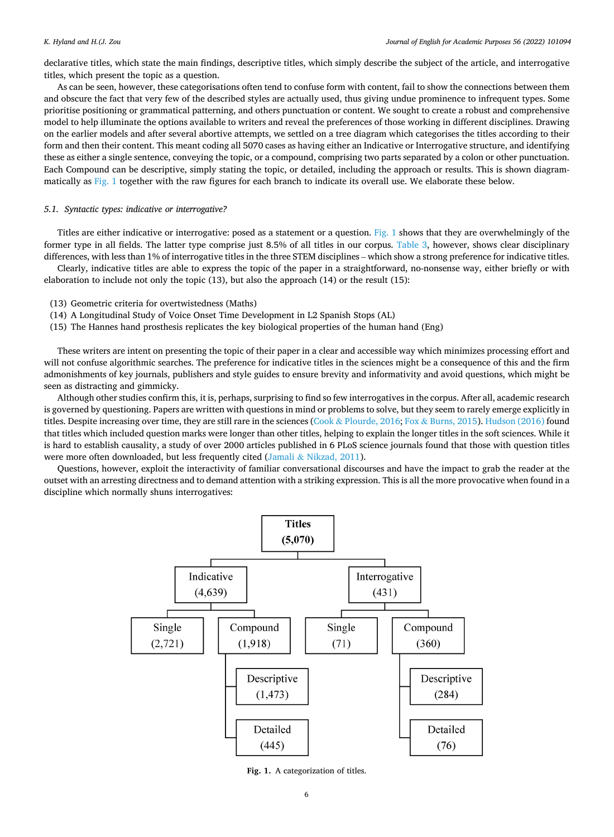declarative titles, which state the main findings, descriptive titles, which simply describe the subject of the article, and interrogative titles, which present the topic as a question.

As can be seen, however, these categorisations often tend to confuse form with content, fail to show the connections between them and obscure the fact that very few of the described styles are actually used, thus giving undue prominence to infrequent types. Some prioritise positioning or grammatical patterning, and others punctuation or content. We sought to create a robust and comprehensive model to help illuminate the options available to writers and reveal the preferences of those working in different disciplines. Drawing on the earlier models and after several abortive attempts, we settled on a tree diagram which categorises the titles according to their form and then their content. This meant coding all 5070 cases as having either an Indicative or Interrogative structure, and identifying these as either a single sentence, conveying the topic, or a compound, comprising two parts separated by a colon or other punctuation. Each Compound can be descriptive, simply stating the topic, or detailed, including the approach or results. This is shown diagrammatically as Fig. 1 together with the raw figures for each branch to indicate its overall use. We elaborate these below.

## *5.1. Syntactic types: indicative or interrogative?*

Titles are either indicative or interrogative: posed as a statement or a question. Fig. 1 shows that they are overwhelmingly of the former type in all fields. The latter type comprise just 8.5% of all titles in our corpus. [Table 3,](#page-6-0) however, shows clear disciplinary differences, with less than 1% of interrogative titles in the three STEM disciplines – which show a strong preference for indicative titles.

Clearly, indicative titles are able to express the topic of the paper in a straightforward, no-nonsense way, either briefly or with elaboration to include not only the topic (13), but also the approach (14) or the result (15):

- (13) Geometric criteria for overtwistedness (Maths)
- (14) A Longitudinal Study of Voice Onset Time Development in L2 Spanish Stops (AL)
- (15) The Hannes hand prosthesis replicates the key biological properties of the human hand (Eng)

These writers are intent on presenting the topic of their paper in a clear and accessible way which minimizes processing effort and will not confuse algorithmic searches. The preference for indicative titles in the sciences might be a consequence of this and the firm admonishments of key journals, publishers and style guides to ensure brevity and informativity and avoid questions, which might be seen as distracting and gimmicky.

Although other studies confirm this, it is, perhaps, surprising to find so few interrogatives in the corpus. After all, academic research is governed by questioning. Papers are written with questions in mind or problems to solve, but they seem to rarely emerge explicitly in titles. Despite increasing over time, they are still rare in the sciences (Cook & [Plourde, 2016](#page-11-0); Fox & [Burns, 2015](#page-11-0)). [Hudson \(2016\)](#page-12-0) found that titles which included question marks were longer than other titles, helping to explain the longer titles in the soft sciences. While it is hard to establish causality, a study of over 2000 articles published in 6 PLoS science journals found that those with question titles were more often downloaded, but less frequently cited (Jamali & [Nikzad, 2011\)](#page-12-0).

Questions, however, exploit the interactivity of familiar conversational discourses and have the impact to grab the reader at the outset with an arresting directness and to demand attention with a striking expression. This is all the more provocative when found in a discipline which normally shuns interrogatives:



**Fig. 1.** A categorization of titles.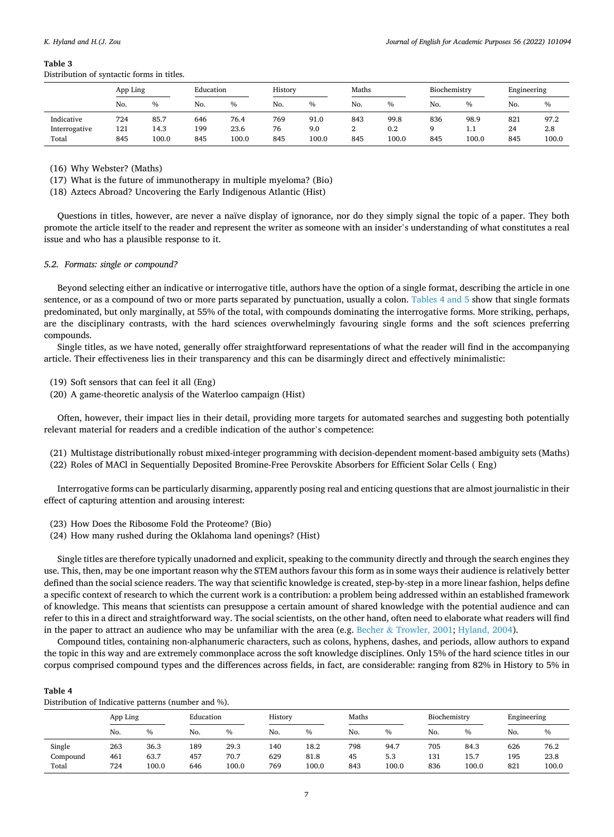#### <span id="page-6-0"></span>**Table 3**

Distribution of syntactic forms in titles.

|               | App Ling |               | Education |       | History |       | Maths |               | Biochemistry |       | Engineering |       |
|---------------|----------|---------------|-----------|-------|---------|-------|-------|---------------|--------------|-------|-------------|-------|
|               | No.      | $\frac{0}{0}$ | No.       | $\%$  | No.     | $\%$  | No.   | $\frac{0}{0}$ | No.          | $\%$  | No.         | $\%$  |
| Indicative    | 724      | 85.7          | 646       | 76.4  | 769     | 91.0  | 843   | 99.8          | 836          | 98.9  | 821         | 97.2  |
| Interrogative | 121      | 14.3          | 199       | 23.6  | 76      | 9.0   | ∠     | 0.2           |              | 1.1   | 24          | 2.8   |
| Total         | 845      | 100.0         | 845       | 100.0 | 845     | 100.0 | 845   | 100.0         | 845          | 100.0 | 845         | 100.0 |

(16) Why Webster? (Maths)

(17) What is the future of immunotherapy in multiple myeloma? (Bio)

(18) Aztecs Abroad? Uncovering the Early Indigenous Atlantic (Hist)

Questions in titles, however, are never a naïve display of ignorance, nor do they simply signal the topic of a paper. They both promote the article itself to the reader and represent the writer as someone with an insider's understanding of what constitutes a real issue and who has a plausible response to it.

## *5.2. Formats: single or compound?*

Beyond selecting either an indicative or interrogative title, authors have the option of a single format, describing the article in one sentence, or as a compound of two or more parts separated by punctuation, usually a colon. Tables 4 and 5 show that single formats predominated, but only marginally, at 55% of the total, with compounds dominating the interrogative forms. More striking, perhaps, are the disciplinary contrasts, with the hard sciences overwhelmingly favouring single forms and the soft sciences preferring compounds.

Single titles, as we have noted, generally offer straightforward representations of what the reader will find in the accompanying article. Their effectiveness lies in their transparency and this can be disarmingly direct and effectively minimalistic:

(19) Soft sensors that can feel it all (Eng)

(20) A game-theoretic analysis of the Waterloo campaign (Hist)

Often, however, their impact lies in their detail, providing more targets for automated searches and suggesting both potentially relevant material for readers and a credible indication of the author's competence:

(21) Multistage distributionally robust mixed-integer programming with decision-dependent moment-based ambiguity sets (Maths)

(22) Roles of MACl in Sequentially Deposited Bromine-Free Perovskite Absorbers for Efficient Solar Cells ( Eng)

Interrogative forms can be particularly disarming, apparently posing real and enticing questions that are almost journalistic in their effect of capturing attention and arousing interest:

- (23) How Does the Ribosome Fold the Proteome? (Bio)
- (24) How many rushed during the Oklahoma land openings? (Hist)

Single titles are therefore typically unadorned and explicit, speaking to the community directly and through the search engines they use. This, then, may be one important reason why the STEM authors favour this form as in some ways their audience is relatively better defined than the social science readers. The way that scientific knowledge is created, step-by-step in a more linear fashion, helps define a specific context of research to which the current work is a contribution: a problem being addressed within an established framework of knowledge. This means that scientists can presuppose a certain amount of shared knowledge with the potential audience and can refer to this in a direct and straightforward way. The social scientists, on the other hand, often need to elaborate what readers will find in the paper to attract an audience who may be unfamiliar with the area (e.g. Becher & [Trowler, 2001;](#page-11-0) [Hyland, 2004\)](#page-12-0).

Compound titles, containing non-alphanumeric characters, such as colons, hyphens, dashes, and periods, allow authors to expand the topic in this way and are extremely commonplace across the soft knowledge disciplines. Only 15% of the hard science titles in our corpus comprised compound types and the differences across fields, in fact, are considerable: ranging from 82% in History to 5% in

#### **Table 4**

Distribution of Indicative patterns (number and %).

|          | App Ling |       | Education |       | History |               | Maths |       | Biochemistry |               | Engineering |       |
|----------|----------|-------|-----------|-------|---------|---------------|-------|-------|--------------|---------------|-------------|-------|
|          | No.      | $\%$  | No.       | $\%$  | No.     | $\frac{0}{0}$ | No.   | $\%$  | No.          | $\frac{0}{0}$ | No.         | $\%$  |
| Single   | 263      | 36.3  | 189       | 29.3  | 140     | 18.2          | 798   | 94.7  | 705          | 84.3          | 626         | 76.2  |
| Compound | 461      | 63.7  | 457       | 70.7  | 629     | 81.8          | 45    | 5.3   | 131          | 15.7          | 195         | 23.8  |
| Total    | 724      | 100.0 | 646       | 100.0 | 769     | 100.0         | 843   | 100.0 | 836          | 100.0         | 821         | 100.0 |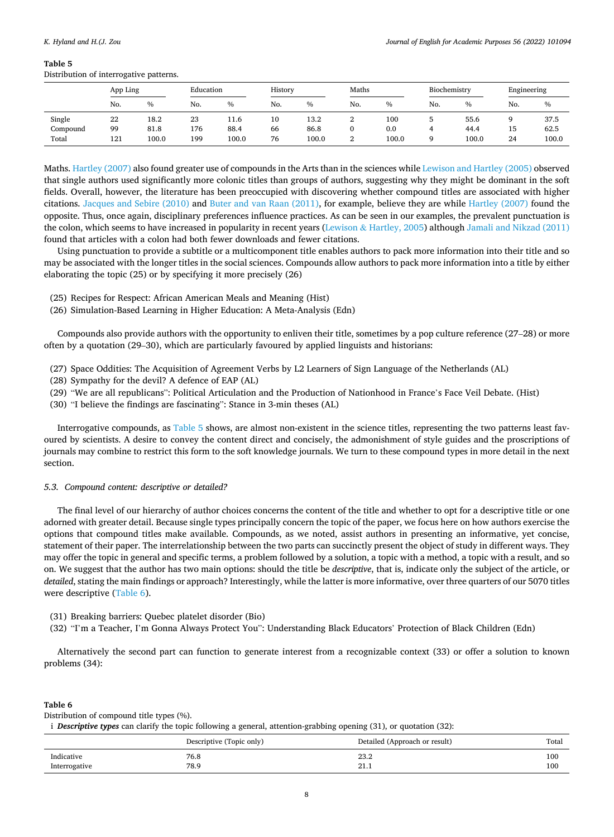#### **Table 5**

Distribution of interrogative patterns.

|          | App Ling |       | Education |       | History |       | Maths         |       | Biochemistry |       | Engineering |       |
|----------|----------|-------|-----------|-------|---------|-------|---------------|-------|--------------|-------|-------------|-------|
|          | No.      | %     | No.       | $\%$  | No.     | $\%$  | No.           | $\%$  | No.          | $\%$  | No.         | $\%$  |
| Single   | 22       | 18.2  | 23        | 11.6  | 10      | 13.2  | ı             | 100   |              | 55.6  | a           | 37.5  |
| Compound | 99       | 81.8  | 176       | 88.4  | 66      | 86.8  | 0             | 0.0   |              | 44.4  | 15          | 62.5  |
| Total    | 121      | 100.0 | 199       | 100.0 | 76      | 100.0 | $\Omega$<br>▵ | 100.0 |              | 100.0 | 24          | 100.0 |

Maths. [Hartley \(2007\)](#page-12-0) also found greater use of compounds in the Arts than in the sciences while [Lewison and Hartley \(2005\)](#page-12-0) observed that single authors used significantly more colonic titles than groups of authors, suggesting why they might be dominant in the soft fields. Overall, however, the literature has been preoccupied with discovering whether compound titles are associated with higher citations. [Jacques and Sebire \(2010\)](#page-12-0) and [Buter and van Raan \(2011\),](#page-11-0) for example, believe they are while [Hartley \(2007\)](#page-12-0) found the opposite. Thus, once again, disciplinary preferences influence practices. As can be seen in our examples, the prevalent punctuation is the colon, which seems to have increased in popularity in recent years (Lewison & [Hartley, 2005\)](#page-12-0) although [Jamali and Nikzad \(2011\)](#page-12-0) found that articles with a colon had both fewer downloads and fewer citations.

Using punctuation to provide a subtitle or a multicomponent title enables authors to pack more information into their title and so may be associated with the longer titles in the social sciences. Compounds allow authors to pack more information into a title by either elaborating the topic (25) or by specifying it more precisely (26)

- (25) Recipes for Respect: African American Meals and Meaning (Hist)
- (26) Simulation-Based Learning in Higher Education: A Meta-Analysis (Edn)

Compounds also provide authors with the opportunity to enliven their title, sometimes by a pop culture reference (27–28) or more often by a quotation (29–30), which are particularly favoured by applied linguists and historians:

- (27) Space Oddities: The Acquisition of Agreement Verbs by L2 Learners of Sign Language of the Netherlands (AL)
- (28) Sympathy for the devil? A defence of EAP (AL)
- (29) "We are all republicans": Political Articulation and the Production of Nationhood in France's Face Veil Debate. (Hist)
- (30) "I believe the findings are fascinating": Stance in 3-min theses (AL)

Interrogative compounds, as Table 5 shows, are almost non-existent in the science titles, representing the two patterns least favoured by scientists. A desire to convey the content direct and concisely, the admonishment of style guides and the proscriptions of journals may combine to restrict this form to the soft knowledge journals. We turn to these compound types in more detail in the next section.

### *5.3. Compound content: descriptive or detailed?*

The final level of our hierarchy of author choices concerns the content of the title and whether to opt for a descriptive title or one adorned with greater detail. Because single types principally concern the topic of the paper, we focus here on how authors exercise the options that compound titles make available. Compounds, as we noted, assist authors in presenting an informative, yet concise, statement of their paper. The interrelationship between the two parts can succinctly present the object of study in different ways. They may offer the topic in general and specific terms, a problem followed by a solution, a topic with a method, a topic with a result, and so on. We suggest that the author has two main options: should the title be *descriptive*, that is, indicate only the subject of the article, or *detailed*, stating the main findings or approach? Interestingly, while the latter is more informative, over three quarters of our 5070 titles were descriptive (Table 6).

- (31) Breaking barriers: Quebec platelet disorder (Bio)
- (32) "I'm a Teacher, I'm Gonna Always Protect You": Understanding Black Educators' Protection of Black Children (Edn)

Alternatively the second part can function to generate interest from a recognizable context (33) or offer a solution to known problems (34):

## **Table 6**

Distribution of compound title types (%).

i *Descriptive types* can clarify the topic following a general, attention-grabbing opening (31), or quotation (32):

|               | Descriptive (Topic only) | Detailed (Approach or result) | Total |
|---------------|--------------------------|-------------------------------|-------|
| Indicative    | 76.8                     | 23.2                          | 100   |
| Interrogative | 78.9                     | 41.1                          | 100   |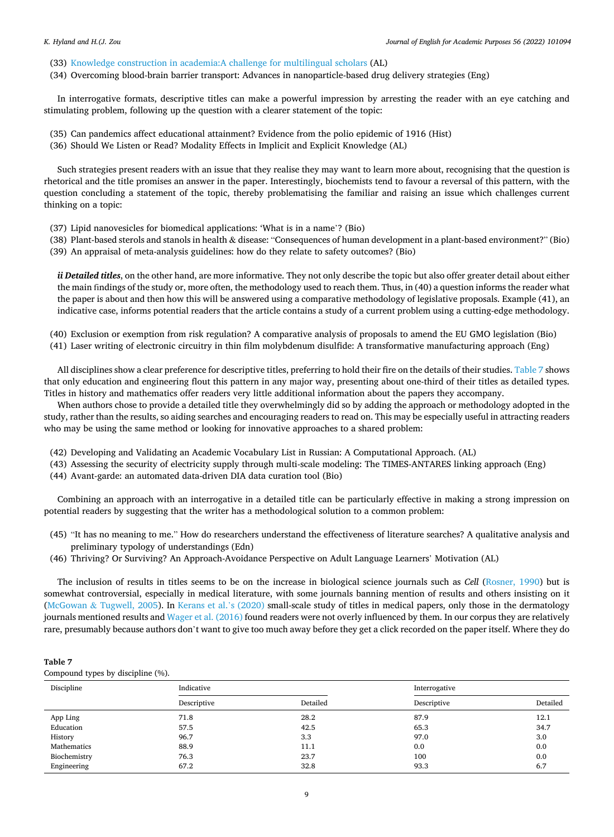- (33) [Knowledge construction in academia:A challenge for multilingual scholars](http://apps.webofknowledge.com/full_record.do?product=UA&search_mode=GeneralSearch&qid=9&SID=7Fx43jjfxVFi3IVT6Ib&page=6&doc=60) (AL)
- (34) Overcoming blood-brain barrier transport: Advances in nanoparticle-based drug delivery strategies (Eng)

In interrogative formats, descriptive titles can make a powerful impression by arresting the reader with an eye catching and stimulating problem, following up the question with a clearer statement of the topic:

- (35) Can pandemics affect educational attainment? Evidence from the polio epidemic of 1916 (Hist)
- (36) Should We Listen or Read? Modality Effects in Implicit and Explicit Knowledge (AL)

Such strategies present readers with an issue that they realise they may want to learn more about, recognising that the question is rhetorical and the title promises an answer in the paper. Interestingly, biochemists tend to favour a reversal of this pattern, with the question concluding a statement of the topic, thereby problematising the familiar and raising an issue which challenges current thinking on a topic:

- (37) Lipid nanovesicles for biomedical applications: 'What is in a name'? (Bio)
- (38) Plant-based sterols and stanols in health & disease: "Consequences of human development in a plant-based environment?" (Bio) (39) An appraisal of meta-analysis guidelines: how do they relate to safety outcomes? (Bio)

*ii Detailed titles*, on the other hand, are more informative. They not only describe the topic but also offer greater detail about either the main findings of the study or, more often, the methodology used to reach them. Thus, in (40) a question informs the reader what the paper is about and then how this will be answered using a comparative methodology of legislative proposals. Example (41), an indicative case, informs potential readers that the article contains a study of a current problem using a cutting-edge methodology.

(40) Exclusion or exemption from risk regulation? A comparative analysis of proposals to amend the EU GMO legislation (Bio) (41) Laser writing of electronic circuitry in thin film molybdenum disulfide: A transformative manufacturing approach (Eng)

All disciplines show a clear preference for descriptive titles, preferring to hold their fire on the details of their studies. Table 7 shows that only education and engineering flout this pattern in any major way, presenting about one-third of their titles as detailed types. Titles in history and mathematics offer readers very little additional information about the papers they accompany.

When authors chose to provide a detailed title they overwhelmingly did so by adding the approach or methodology adopted in the study, rather than the results, so aiding searches and encouraging readers to read on. This may be especially useful in attracting readers who may be using the same method or looking for innovative approaches to a shared problem:

- (42) Developing and Validating an Academic Vocabulary List in Russian: A Computational Approach. (AL)
- (43) Assessing the security of electricity supply through multi-scale modeling: The TIMES-ANTARES linking approach (Eng)
- (44) Avant-garde: an automated data-driven DIA data curation tool (Bio)

Combining an approach with an interrogative in a detailed title can be particularly effective in making a strong impression on potential readers by suggesting that the writer has a methodological solution to a common problem:

- (45) "It has no meaning to me." How do researchers understand the effectiveness of literature searches? A qualitative analysis and preliminary typology of understandings (Edn)
- (46) Thriving? Or Surviving? An Approach-Avoidance Perspective on Adult Language Learners' Motivation (AL)

The inclusion of results in titles seems to be on the increase in biological science journals such as *Cell* ([Rosner, 1990\)](#page-12-0) but is somewhat controversial, especially in medical literature, with some journals banning mention of results and others insisting on it (McGowan & [Tugwell, 2005](#page-12-0)). In [Kerans et al.](#page-12-0)'s (2020) small-scale study of titles in medical papers, only those in the dermatology journals mentioned results and [Wager et al. \(2016\)](#page-12-0) found readers were not overly influenced by them. In our corpus they are relatively rare, presumably because authors don't want to give too much away before they get a click recorded on the paper itself. Where they do

# **Table 7**

Compound types by discipline (%).

| Discipline   | Indicative  |          | Interrogative |          |
|--------------|-------------|----------|---------------|----------|
|              | Descriptive | Detailed | Descriptive   | Detailed |
| App Ling     | 71.8        | 28.2     | 87.9          | 12.1     |
| Education    | 57.5        | 42.5     | 65.3          | 34.7     |
| History      | 96.7        | 3.3      | 97.0          | 3.0      |
| Mathematics  | 88.9        | 11.1     | 0.0           | 0.0      |
| Biochemistry | 76.3        | 23.7     | 100           | 0.0      |
| Engineering  | 67.2        | 32.8     | 93.3          | 6.7      |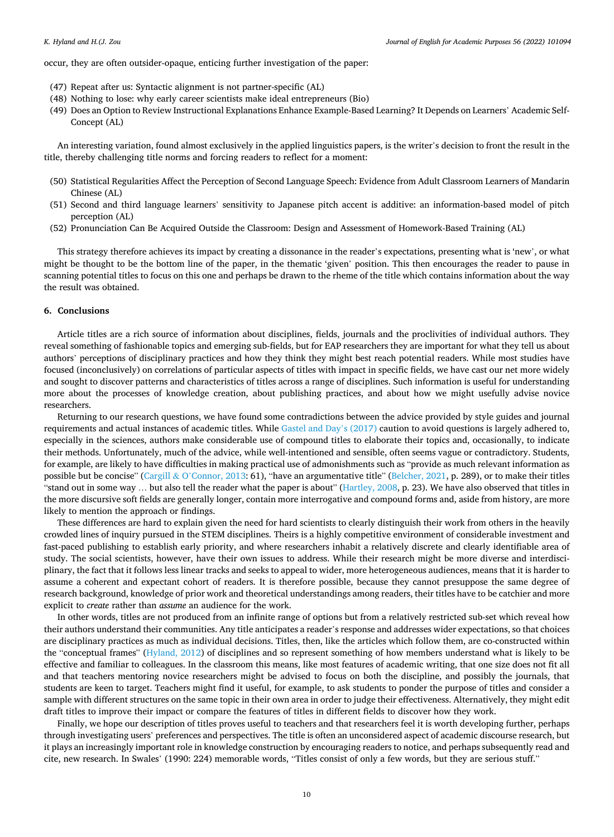occur, they are often outsider-opaque, enticing further investigation of the paper:

- (47) Repeat after us: Syntactic alignment is not partner-specific (AL)
- (48) Nothing to lose: why early career scientists make ideal entrepreneurs (Bio)
- (49) Does an Option to Review Instructional Explanations Enhance Example-Based Learning? It Depends on Learners' Academic Self-Concept (AL)

An interesting variation, found almost exclusively in the applied linguistics papers, is the writer's decision to front the result in the title, thereby challenging title norms and forcing readers to reflect for a moment:

- (50) Statistical Regularities Affect the Perception of Second Language Speech: Evidence from Adult Classroom Learners of Mandarin Chinese (AL)
- (51) Second and third language learners' sensitivity to Japanese pitch accent is additive: an information-based model of pitch perception (AL)
- (52) Pronunciation Can Be Acquired Outside the Classroom: Design and Assessment of Homework-Based Training (AL)

This strategy therefore achieves its impact by creating a dissonance in the reader's expectations, presenting what is 'new', or what might be thought to be the bottom line of the paper, in the thematic 'given' position. This then encourages the reader to pause in scanning potential titles to focus on this one and perhaps be drawn to the rheme of the title which contains information about the way the result was obtained.

# **6. Conclusions**

Article titles are a rich source of information about disciplines, fields, journals and the proclivities of individual authors. They reveal something of fashionable topics and emerging sub-fields, but for EAP researchers they are important for what they tell us about authors' perceptions of disciplinary practices and how they think they might best reach potential readers. While most studies have focused (inconclusively) on correlations of particular aspects of titles with impact in specific fields, we have cast our net more widely and sought to discover patterns and characteristics of titles across a range of disciplines. Such information is useful for understanding more about the processes of knowledge creation, about publishing practices, and about how we might usefully advise novice researchers.

Returning to our research questions, we have found some contradictions between the advice provided by style guides and journal requirements and actual instances of academic titles. While [Gastel and Day](#page-11-0)'s (2017) caution to avoid questions is largely adhered to, especially in the sciences, authors make considerable use of compound titles to elaborate their topics and, occasionally, to indicate their methods. Unfortunately, much of the advice, while well-intentioned and sensible, often seems vague or contradictory. Students, for example, are likely to have difficulties in making practical use of admonishments such as "provide as much relevant information as possible but be concise" (Cargill & O'[Connor, 2013](#page-11-0): 61), "have an argumentative title" [\(Belcher, 2021,](#page-11-0) p. 289), or to make their titles "stand out in some way … but also tell the reader what the paper is about" [\(Hartley, 2008](#page-12-0), p. 23). We have also observed that titles in the more discursive soft fields are generally longer, contain more interrogative and compound forms and, aside from history, are more likely to mention the approach or findings.

These differences are hard to explain given the need for hard scientists to clearly distinguish their work from others in the heavily crowded lines of inquiry pursued in the STEM disciplines. Theirs is a highly competitive environment of considerable investment and fast-paced publishing to establish early priority, and where researchers inhabit a relatively discrete and clearly identifiable area of study. The social scientists, however, have their own issues to address. While their research might be more diverse and interdisciplinary, the fact that it follows less linear tracks and seeks to appeal to wider, more heterogeneous audiences, means that it is harder to assume a coherent and expectant cohort of readers. It is therefore possible, because they cannot presuppose the same degree of research background, knowledge of prior work and theoretical understandings among readers, their titles have to be catchier and more explicit to *create* rather than *assume* an audience for the work.

In other words, titles are not produced from an infinite range of options but from a relatively restricted sub-set which reveal how their authors understand their communities. Any title anticipates a reader's response and addresses wider expectations, so that choices are disciplinary practices as much as individual decisions. Titles, then, like the articles which follow them, are co-constructed within the "conceptual frames" ([Hyland, 2012](#page-12-0)) of disciplines and so represent something of how members understand what is likely to be effective and familiar to colleagues. In the classroom this means, like most features of academic writing, that one size does not fit all and that teachers mentoring novice researchers might be advised to focus on both the discipline, and possibly the journals, that students are keen to target. Teachers might find it useful, for example, to ask students to ponder the purpose of titles and consider a sample with different structures on the same topic in their own area in order to judge their effectiveness. Alternatively, they might edit draft titles to improve their impact or compare the features of titles in different fields to discover how they work.

Finally, we hope our description of titles proves useful to teachers and that researchers feel it is worth developing further, perhaps through investigating users' preferences and perspectives. The title is often an unconsidered aspect of academic discourse research, but it plays an increasingly important role in knowledge construction by encouraging readers to notice, and perhaps subsequently read and cite, new research. In Swales' (1990: 224) memorable words, "Titles consist of only a few words, but they are serious stuff."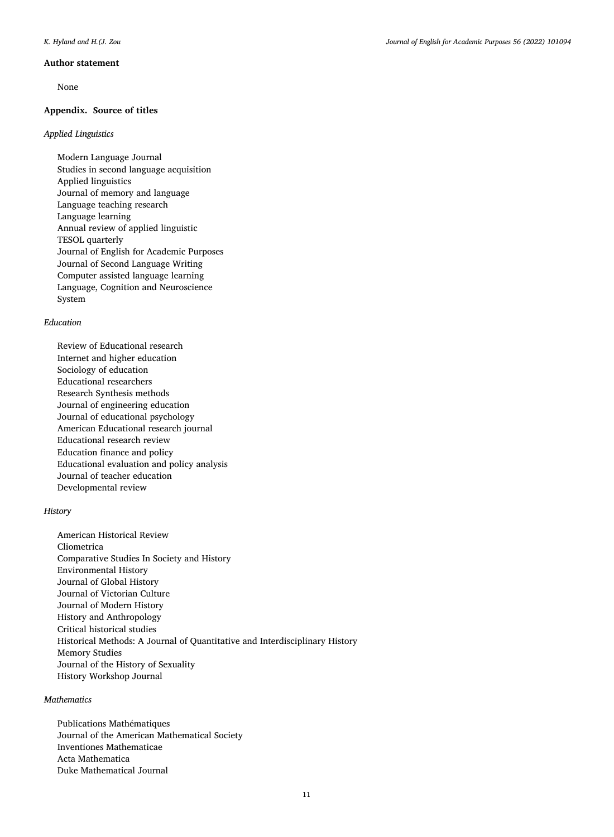#### **Author statement**

None

# **Appendix. Source of titles**

# *Applied Linguistics*

Modern Language Journal Studies in second language acquisition Applied linguistics Journal of memory and language Language teaching research Language learning Annual review of applied linguistic TESOL quarterly Journal of English for Academic Purposes Journal of Second Language Writing Computer assisted language learning Language, Cognition and Neuroscience System

## *Education*

Review of Educational research Internet and higher education Sociology of education Educational researchers Research Synthesis methods Journal of engineering education Journal of educational psychology American Educational research journal Educational research review Education finance and policy Educational evaluation and policy analysis Journal of teacher education Developmental review

# *History*

American Historical Review Cliometrica Comparative Studies In Society and History Environmental History Journal of Global History Journal of Victorian Culture Journal of Modern History History and Anthropology Critical historical studies Historical Methods: A Journal of Quantitative and Interdisciplinary History Memory Studies Journal of the History of Sexuality History Workshop Journal

## *Mathematics*

Publications Mathématiques Journal of the American Mathematical Society Inventiones Mathematicae Acta Mathematica Duke Mathematical Journal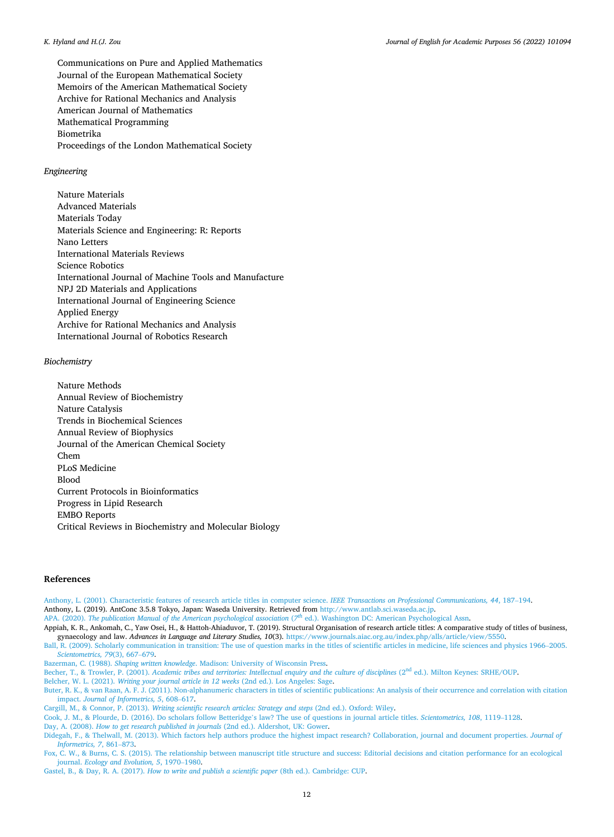#### <span id="page-11-0"></span>*K. Hyland and H.(J. Zou*

Communications on Pure and Applied Mathematics Journal of the European Mathematical Society Memoirs of the American Mathematical Society Archive for Rational Mechanics and Analysis American Journal of Mathematics Mathematical Programming Biometrika Proceedings of the London Mathematical Society

## *Engineering*

Nature Materials Advanced Materials Materials Today Materials Science and Engineering: R: Reports Nano Letters International Materials Reviews Science Robotics International Journal of Machine Tools and Manufacture NPJ 2D Materials and Applications International Journal of Engineering Science Applied Energy Archive for Rational Mechanics and Analysis International Journal of Robotics Research

## *Biochemistry*

Nature Methods Annual Review of Biochemistry Nature Catalysis Trends in Biochemical Sciences Annual Review of Biophysics Journal of the American Chemical Society Chem PLoS Medicine Blood Current Protocols in Bioinformatics Progress in Lipid Research EMBO Reports Critical Reviews in Biochemistry and Molecular Biology

### **References**

[Anthony, L. \(2001\). Characteristic features of research article titles in computer science.](http://refhub.elsevier.com/S1475-1585(22)00014-5/sref1) *IEEE Transactions on Professional Communications, 44*, 187–194. Anthony, L. (2019). AntConc 3.5.8 Tokyo, Japan: Waseda University. Retrieved from [http://www.antlab.sci.waseda.ac.jp.](http://www.antlab.sci.waseda.ac.jp)

APA. (2020). *[The publication Manual of the American psychological association](http://refhub.elsevier.com/S1475-1585(22)00014-5/sref3) (7<sup><i>th*</sup> ed.). Washington DC: American Psychological Assn.

Appiah, K. R., Ankomah, C., Yaw Osei, H., & Hattoh-Ahiaduvor, T. (2019). Structural Organisation of research article titles: A comparative study of titles of business, gynaecology and law. *Advances in Language and Literary Studies, 10*(3). <https://www.journals.aiac.org.au/index.php/alls/article/view/5550>.

[Ball, R. \(2009\). Scholarly communication in transition: The use of question marks in the titles of scientific articles in medicine, life sciences and physics 1966](http://refhub.elsevier.com/S1475-1585(22)00014-5/sref5)–2005. *[Scientometrics, 79](http://refhub.elsevier.com/S1475-1585(22)00014-5/sref5)*(3), 667–679.

Bazerman, C. (1988). *Shaping written knowledge*[. Madison: University of Wisconsin Press](http://refhub.elsevier.com/S1475-1585(22)00014-5/sref6).

Becher, T., & Trowler, P. (2001). *Academic tribes and territories: Intellectual enquiry and the culture of disciplines* (2<sup>nd</sup> ed.). Milton Keynes: SRHE/OUP.

Belcher, W. L. (2021). *[Writing your journal article in 12 weeks](http://refhub.elsevier.com/S1475-1585(22)00014-5/sref8)* (2nd ed.). Los Angeles: Sage.

[Buter, R. K., & van Raan, A. F. J. \(2011\). Non-alphanumeric characters in titles of scienti](http://refhub.elsevier.com/S1475-1585(22)00014-5/sref9)fic publications: An analysis of their occurrence and correlation with citation impact. *[Journal of Informetrics, 5](http://refhub.elsevier.com/S1475-1585(22)00014-5/sref9)*, 608–617.

Cargill, M., & Connor, P. (2013). *[Writing scientific research articles: Strategy and steps](http://refhub.elsevier.com/S1475-1585(22)00014-5/sref10)* (2nd ed.). Oxford: Wiley.

[Cook, J. M., & Plourde, D. \(2016\). Do scholars follow Betteridge](http://refhub.elsevier.com/S1475-1585(22)00014-5/sref11)'s law? The use of questions in journal article titles. *Scientometrics, 108*, 1119–1128.

Day, A. (2008). *[How to get research published in journals](http://refhub.elsevier.com/S1475-1585(22)00014-5/sref12)* (2nd ed.). Aldershot, UK: Gower.

[Didegah, F., & Thelwall, M. \(2013\). Which factors help authors produce the highest impact research? Collaboration, journal and document properties.](http://refhub.elsevier.com/S1475-1585(22)00014-5/sref13) *Journal of [Informetrics, 7](http://refhub.elsevier.com/S1475-1585(22)00014-5/sref13)*, 861–873.

[Fox, C. W., & Burns, C. S. \(2015\). The relationship between manuscript title structure and success: Editorial decisions and citation performance for an ecological](http://refhub.elsevier.com/S1475-1585(22)00014-5/sref14)  journal. *[Ecology and Evolution, 5](http://refhub.elsevier.com/S1475-1585(22)00014-5/sref14)*, 1970–1980.

Gastel, B., & Day, R. A. (2017). *[How to write and publish a scientific paper](http://refhub.elsevier.com/S1475-1585(22)00014-5/sref15)* (8th ed.). Cambridge: CUP.